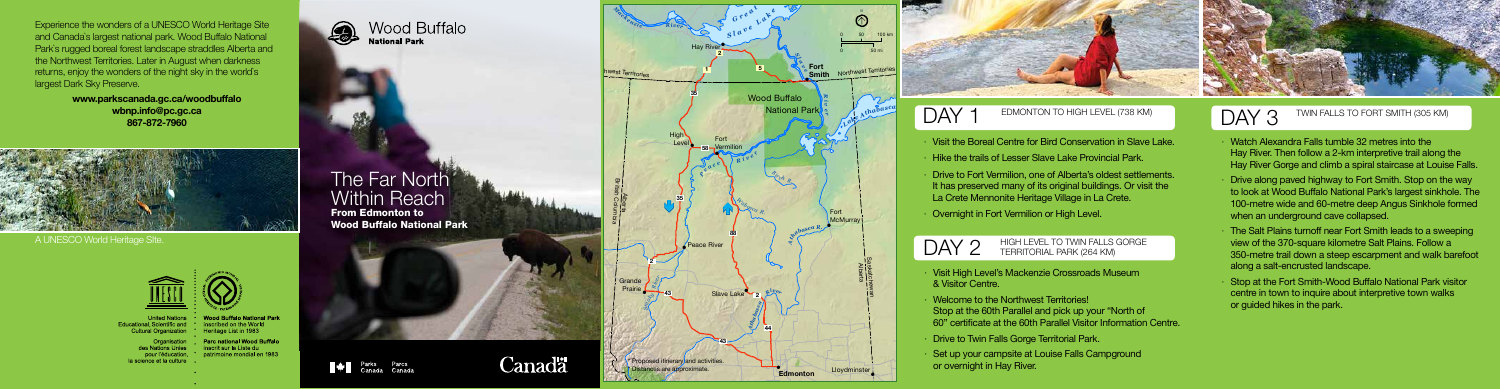# **The Far North** Within Reach

- · Visit the Boreal Centre for Bird Conservation in Slave Lake.
- · Hike the trails of Lesser Slave Lake Provincial Park.
- · Drive to Fort Vermilion, one of Alberta's oldest settlements. It has preserved many of its original buildings. Or visit the La Crete Mennonite Heritage Village in La Crete.
- **Overnight in Fort Vermilion or High Level.**

From Edmonton to Wood Buffalo National Park

Parks Parcs<br>Canada Canada

**Canadä** 

### DAY EDMONTON TO HIGH LEVEL (738 KM)

DAY<sub>2</sub> HIGH LEVEL TO TWIN FALLS GORGE TERRITORIAL PARK (264 KM)

- · Visit High Level's Mackenzie Crossroads Museum & Visitor Centre.
- · Welcome to the Northwest Territories! Stop at the 60th Parallel and pick up your "North of 60" certificate at the 60th Parallel Visitor Information Centre.
- · Drive to Twin Falls Gorge Territorial Park.
- Set up your campsite at Louise Falls Campground or overnight in Hay River.

# DAY 3 TWIN FALLS TO FORT SMITH (305 KM)

- · Watch Alexandra Falls tumble 32 metres into the Hay River. Then follow a 2-km interpretive trail along the Hay River Gorge and climb a spiral staircase at Louise Falls.
- · Drive along paved highway to Fort Smith. Stop on the way to look at Wood Buffalo National Park's largest sinkhole. The 100-metre wide and 60-metre deep Angus Sinkhole formed when an underground cave collapsed.
- · The Salt Plains turnoff near Fort Smith leads to a sweeping view of the 370-square kilometre Salt Plains. Follow a 350-metre trail down a steep escarpment and walk barefoot along a salt-encrusted landscape.
- · Stop at the Fort Smith-Wood Buffalo National Park visitor centre in town to inquire about interpretive town walks or guided hikes in the park.

Experience the wonders of a UNESCO World Heritage Site and Canada`s largest national park. Wood Buffalo National Park`s rugged boreal forest landscape straddles Alberta and the Northwest Territories. Later in August when darkness returns, enjoy the wonders of the night sky in the world`s largest Dark Sky Preserve.

> www.parkscanada.gc.ca/woodbuffalo wbnp.info@pc.gc.ca 867-872-7960



A UNESCO World Heritage SIte.



inscribed on the World

**Educational Scientific and \*** Cultural Organization \* Heritage List in 1983

Parc national Wood Buffalo inscrit sur la Liste du nour l'éducation. \* patrimoine mondial en 1983 la science et la culture

Wood Buffalo 0 **National Park**